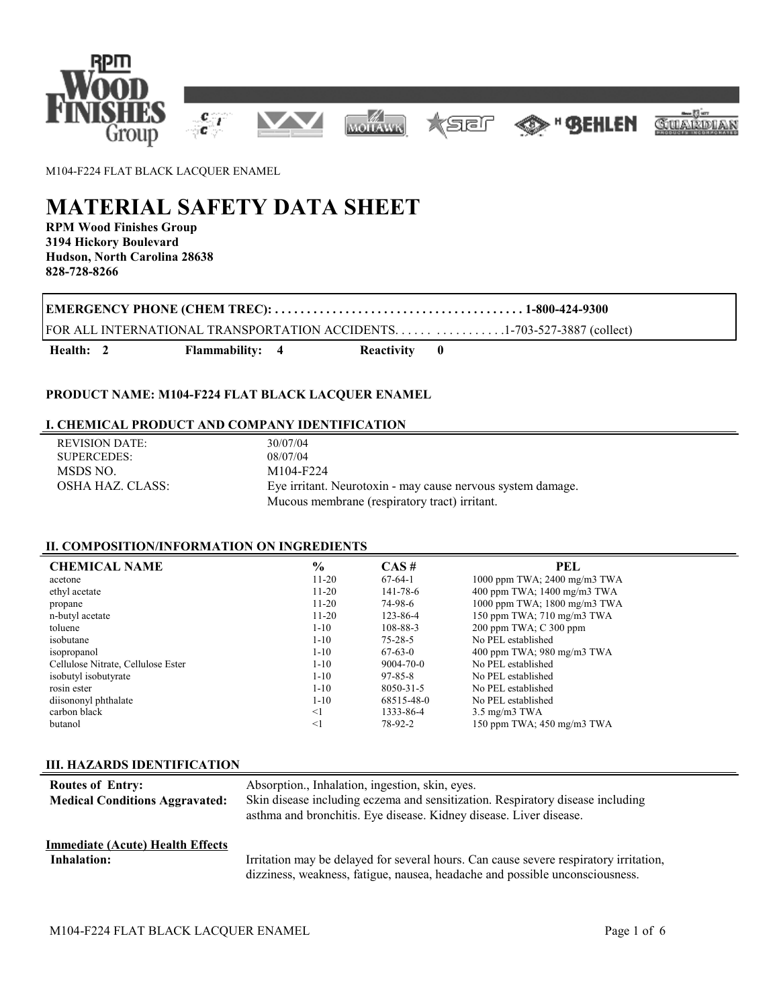

M104-F224 FLAT BLACK LACQUER ENAMEL

# **MATERIAL SAFETY DATA SHEET**

**RPM Wood Finishes Group 3194 Hickory Boulevard Hudson, North Carolina 28638 828-728-8266**

**EMERGENCY PHONE (CHEM TREC): . . . . . . . . . . . . . . . . . . . . . . . . . . . . . . . . . . . . . . . 1-800-424-9300**

FOR ALL INTERNATIONAL TRANSPORTATION ACCIDENTS. . . . . . . . . . . . . . . . .1-703-527-3887 (collect)

Health: 2 Flammability: 4 Reactivity 0

# **PRODUCT NAME: M104-F224 FLAT BLACK LACQUER ENAMEL**

# **I. CHEMICAL PRODUCT AND COMPANY IDENTIFICATION**

| REVISION DATE:   | 30/07/04                                                    |
|------------------|-------------------------------------------------------------|
| SUPERCEDES:      | 08/07/04                                                    |
| MSDS NO.         | M104-F224                                                   |
| OSHA HAZ. CLASS: | Eye irritant. Neurotoxin - may cause nervous system damage. |
|                  | Mucous membrane (respiratory tract) irritant.               |

# **II. COMPOSITION/INFORMATION ON INGREDIENTS**

| <b>CHEMICAL NAME</b>               | $\frac{0}{0}$ | $CAS \#$      | PEL                                |
|------------------------------------|---------------|---------------|------------------------------------|
| acetone                            | $11 - 20$     | $67-64-1$     | 1000 ppm TWA; 2400 mg/m3 TWA       |
| ethyl acetate                      | $11-20$       | 141-78-6      | 400 ppm TWA; 1400 mg/m3 TWA        |
| propane                            | $11 - 20$     | 74-98-6       | 1000 ppm TWA; 1800 mg/m3 TWA       |
| n-butyl acetate                    | $11-20$       | 123-86-4      | 150 ppm TWA; 710 mg/m3 TWA         |
| toluene                            | $1 - 10$      | 108-88-3      | 200 ppm TWA; C 300 ppm             |
| isobutane                          | $1 - 10$      | $75 - 28 - 5$ | No PEL established                 |
| isopropanol                        | $1 - 10$      | $67-63-0$     | 400 ppm TWA; 980 mg/m3 TWA         |
| Cellulose Nitrate, Cellulose Ester | $1-10$        | 9004-70-0     | No PEL established                 |
| isobutyl isobutyrate               | $1 - 10$      | 97-85-8       | No PEL established                 |
| rosin ester                        | $1-10$        | 8050-31-5     | No PEL established                 |
| diisononyl phthalate               | $1-10$        | 68515-48-0    | No PEL established                 |
| carbon black                       | $\leq$ 1      | 1333-86-4     | $3.5 \text{ mg/m}$ $3 \text{ TWA}$ |
| butanol                            | $\leq$ 1      | 78-92-2       | 150 ppm TWA; 450 mg/m3 TWA         |

#### **III. HAZARDS IDENTIFICATION**

| <b>Routes of Entry:</b><br><b>Medical Conditions Aggravated:</b> | Absorption., Inhalation, ingestion, skin, eyes.<br>Skin disease including eczema and sensitization. Respiratory disease including<br>asthma and bronchitis. Eye disease. Kidney disease. Liver disease. |
|------------------------------------------------------------------|---------------------------------------------------------------------------------------------------------------------------------------------------------------------------------------------------------|
| <b>Immediate (Acute) Health Effects</b>                          | Irritation may be delayed for several hours. Can cause severe respiratory irritation,                                                                                                                   |
| <b>Inhalation:</b>                                               | dizziness, weakness, fatigue, nausea, headache and possible unconsciousness.                                                                                                                            |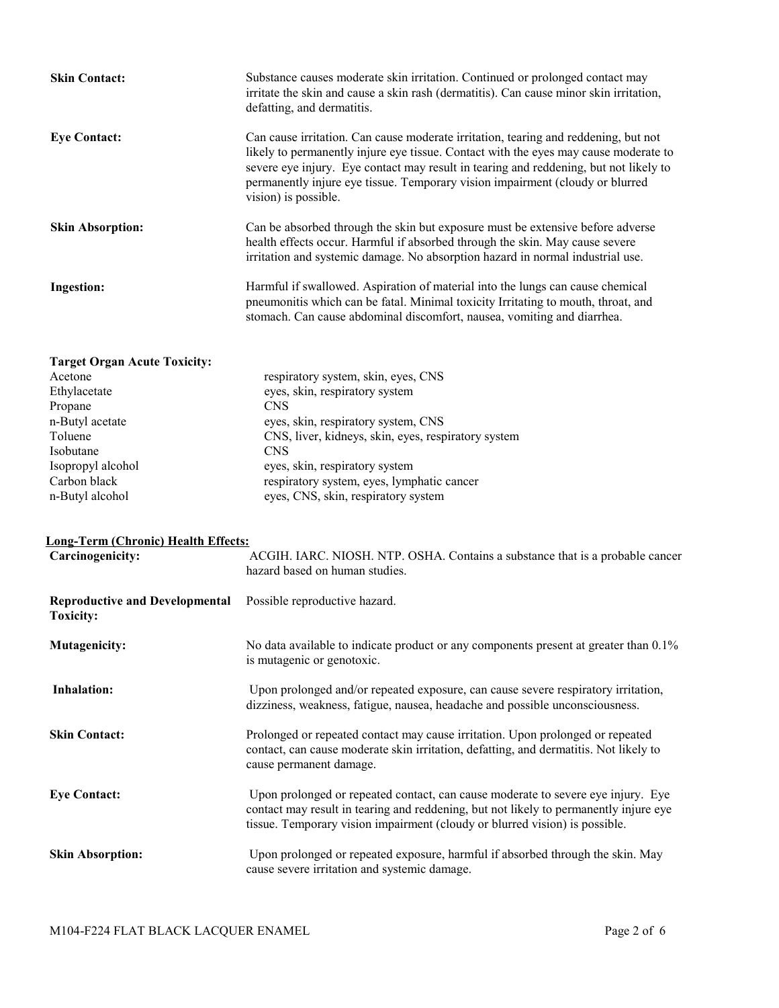| <b>Skin Contact:</b>                | Substance causes moderate skin irritation. Continued or prolonged contact may<br>irritate the skin and cause a skin rash (dermatitis). Can cause minor skin irritation,<br>defatting, and dermatitis.                                                                                                                                                                         |
|-------------------------------------|-------------------------------------------------------------------------------------------------------------------------------------------------------------------------------------------------------------------------------------------------------------------------------------------------------------------------------------------------------------------------------|
| <b>Eve Contact:</b>                 | Can cause irritation. Can cause moderate irritation, tearing and reddening, but not<br>likely to permanently injure eye tissue. Contact with the eyes may cause moderate to<br>severe eye injury. Eye contact may result in tearing and reddening, but not likely to<br>permanently injure eye tissue. Temporary vision impairment (cloudy or blurred<br>vision) is possible. |
| <b>Skin Absorption:</b>             | Can be absorbed through the skin but exposure must be extensive before adverse<br>health effects occur. Harmful if absorbed through the skin. May cause severe<br>irritation and systemic damage. No absorption hazard in normal industrial use.                                                                                                                              |
| <b>Ingestion:</b>                   | Harmful if swallowed. Aspiration of material into the lungs can cause chemical<br>pneumonitis which can be fatal. Minimal toxicity Irritating to mouth, throat, and<br>stomach. Can cause abdominal discomfort, nausea, vomiting and diarrhea.                                                                                                                                |
| <b>Target Organ Acute Toxicity:</b> |                                                                                                                                                                                                                                                                                                                                                                               |

| Acetone           | respiratory system, skin, eyes, CNS                 |
|-------------------|-----------------------------------------------------|
| Ethylacetate      | eyes, skin, respiratory system                      |
| Propane           | <b>CNS</b>                                          |
| n-Butyl acetate   | eyes, skin, respiratory system, CNS                 |
| Toluene           | CNS, liver, kidneys, skin, eyes, respiratory system |
| Isobutane         | <b>CNS</b>                                          |
| Isopropyl alcohol | eyes, skin, respiratory system                      |
| Carbon black      | respiratory system, eyes, lymphatic cancer          |
| n-Butyl alcohol   | eyes, CNS, skin, respiratory system                 |
|                   |                                                     |

# **Long-Term (Chronic) Health Effects:**

| Carcinogenicity:                                          | ACGIH. IARC. NIOSH. NTP. OSHA. Contains a substance that is a probable cancer<br>hazard based on human studies.                                                                                                                                          |
|-----------------------------------------------------------|----------------------------------------------------------------------------------------------------------------------------------------------------------------------------------------------------------------------------------------------------------|
| <b>Reproductive and Developmental</b><br><b>Toxicity:</b> | Possible reproductive hazard.                                                                                                                                                                                                                            |
| <b>Mutagenicity:</b>                                      | No data available to indicate product or any components present at greater than 0.1%<br>is mutagenic or genotoxic.                                                                                                                                       |
| Inhalation:                                               | Upon prolonged and/or repeated exposure, can cause severe respiratory irritation,<br>dizziness, weakness, fatigue, nausea, headache and possible unconsciousness.                                                                                        |
| <b>Skin Contact:</b>                                      | Prolonged or repeated contact may cause irritation. Upon prolonged or repeated<br>contact, can cause moderate skin irritation, defatting, and dermatitis. Not likely to<br>cause permanent damage.                                                       |
| <b>Eye Contact:</b>                                       | Upon prolonged or repeated contact, can cause moderate to severe eye injury. Eye<br>contact may result in tearing and reddening, but not likely to permanently injure eye<br>tissue. Temporary vision impairment (cloudy or blurred vision) is possible. |
| <b>Skin Absorption:</b>                                   | Upon prolonged or repeated exposure, harmful if absorbed through the skin. May<br>cause severe irritation and systemic damage.                                                                                                                           |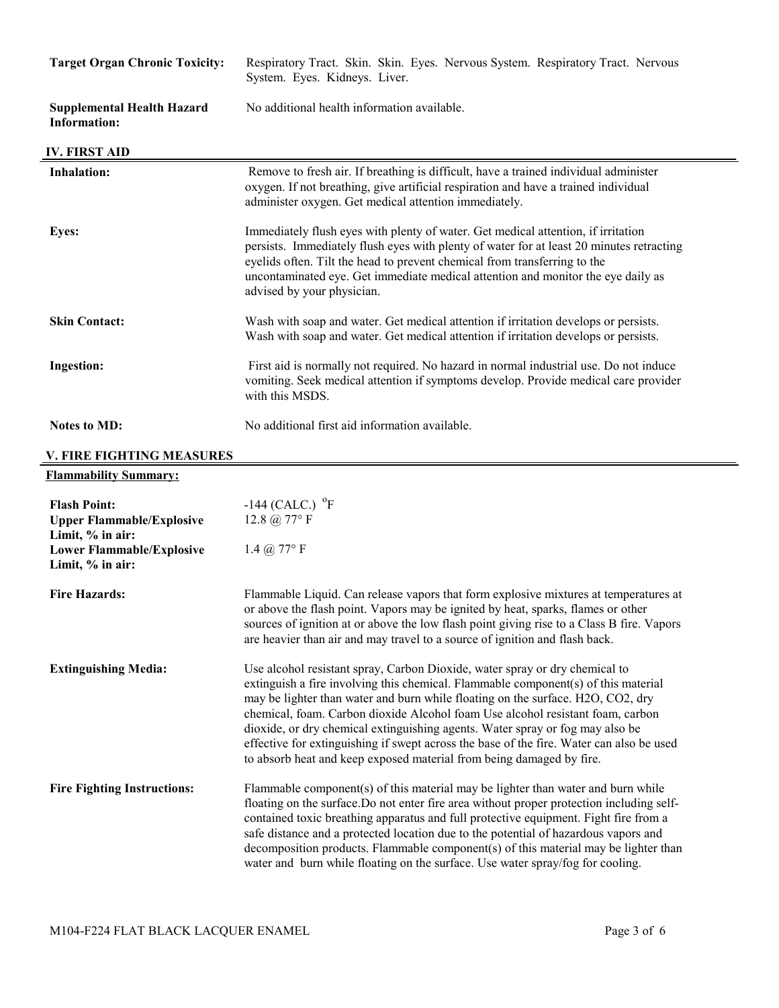| <b>Target Organ Chronic Toxicity:</b>                                       | Respiratory Tract. Skin. Skin. Eyes. Nervous System. Respiratory Tract. Nervous<br>System. Eyes. Kidneys. Liver.                                                                                                                                                                                                                                                             |
|-----------------------------------------------------------------------------|------------------------------------------------------------------------------------------------------------------------------------------------------------------------------------------------------------------------------------------------------------------------------------------------------------------------------------------------------------------------------|
| <b>Supplemental Health Hazard</b><br><b>Information:</b>                    | No additional health information available.                                                                                                                                                                                                                                                                                                                                  |
| <b>IV. FIRST AID</b>                                                        |                                                                                                                                                                                                                                                                                                                                                                              |
| <b>Inhalation:</b>                                                          | Remove to fresh air. If breathing is difficult, have a trained individual administer<br>oxygen. If not breathing, give artificial respiration and have a trained individual<br>administer oxygen. Get medical attention immediately.                                                                                                                                         |
| <b>Eyes:</b>                                                                | Immediately flush eyes with plenty of water. Get medical attention, if irritation<br>persists. Immediately flush eyes with plenty of water for at least 20 minutes retracting<br>eyelids often. Tilt the head to prevent chemical from transferring to the<br>uncontaminated eye. Get immediate medical attention and monitor the eye daily as<br>advised by your physician. |
| <b>Skin Contact:</b>                                                        | Wash with soap and water. Get medical attention if irritation develops or persists.<br>Wash with soap and water. Get medical attention if irritation develops or persists.                                                                                                                                                                                                   |
| <b>Ingestion:</b>                                                           | First aid is normally not required. No hazard in normal industrial use. Do not induce<br>vomiting. Seek medical attention if symptoms develop. Provide medical care provider<br>with this MSDS.                                                                                                                                                                              |
| <b>Notes to MD:</b>                                                         | No additional first aid information available.                                                                                                                                                                                                                                                                                                                               |
| <b>V. FIRE FIGHTING MEASURES</b>                                            |                                                                                                                                                                                                                                                                                                                                                                              |
| <b>Flammability Summary:</b>                                                |                                                                                                                                                                                                                                                                                                                                                                              |
| <b>Flash Point:</b><br><b>Upper Flammable/Explosive</b><br>Limit, % in air: | $-144$ (CALC.) $^{\circ}$ F<br>12.8 $\omega$ 77° F                                                                                                                                                                                                                                                                                                                           |
| <b>Lower Flammable/Explosive</b>                                            | 1.4 $@$ 77° F                                                                                                                                                                                                                                                                                                                                                                |

| <b>Fire Hazards:</b> | Flammable Liquid. Can release vapors that form explosive mixtures at temperatures at      |
|----------------------|-------------------------------------------------------------------------------------------|
|                      | or above the flash point. Vapors may be ignited by heat, sparks, flames or other          |
|                      | sources of ignition at or above the low flash point giving rise to a Class B fire. Vapors |
|                      | are heavier than air and may travel to a source of ignition and flash back.               |

| <b>Extinguishing Media:</b> | Use alcohol resistant spray, Carbon Dioxide, water spray or dry chemical to              |
|-----------------------------|------------------------------------------------------------------------------------------|
|                             | extinguish a fire involving this chemical. Flammable component(s) of this material       |
|                             | may be lighter than water and burn while floating on the surface. H2O, CO2, dry          |
|                             | chemical, foam. Carbon dioxide Alcohol foam Use alcohol resistant foam, carbon           |
|                             | dioxide, or dry chemical extinguishing agents. Water spray or fog may also be            |
|                             | effective for extinguishing if swept across the base of the fire. Water can also be used |
|                             | to absorb heat and keep exposed material from being damaged by fire.                     |
|                             |                                                                                          |

Fire Fighting Instructions: Flammable component(s) of this material may be lighter than water and burn while floating on the surface.Do not enter fire area without proper protection including selfcontained toxic breathing apparatus and full protective equipment. Fight fire from a safe distance and a protected location due to the potential of hazardous vapors and decomposition products. Flammable component(s) of this material may be lighter than water and burn while floating on the surface. Use water spray/fog for cooling.

**Limit, % in air:**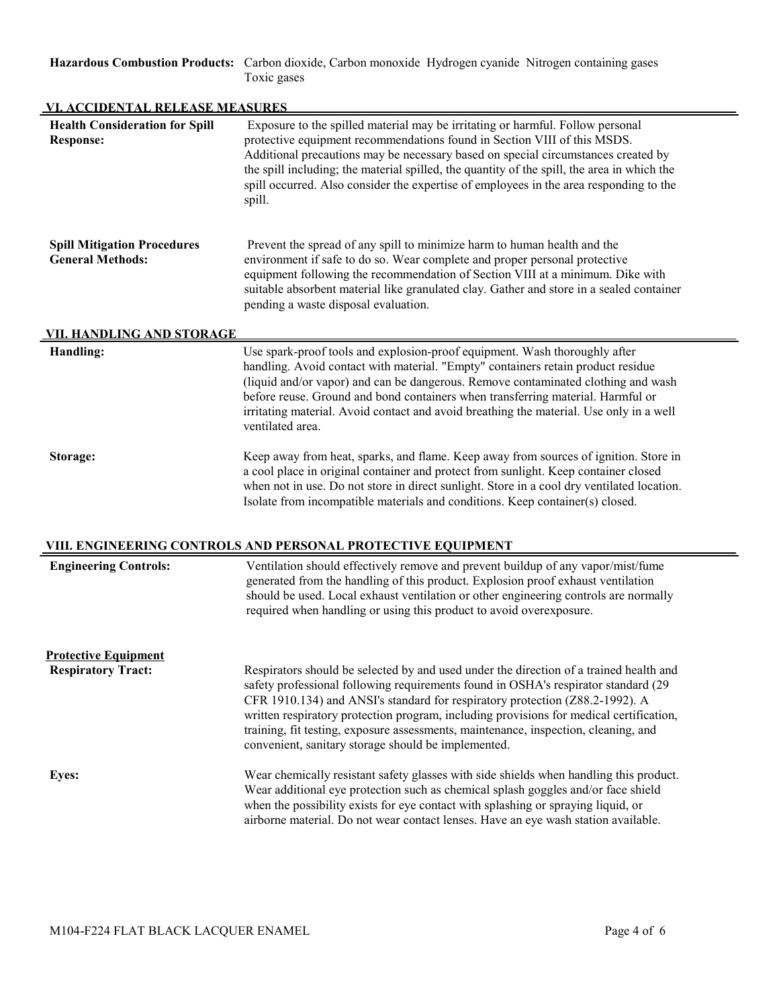**Hazardous Combustion Products:** Carbon dioxide, Carbon monoxide Hydrogen cyanide Nitrogen containing gases Toxic gases

| VI. ACCIDENTAL RELEASE MEASURES                               |                                                                                                                                                                                                                                                                                                                                                                                                                                                                                                       |  |
|---------------------------------------------------------------|-------------------------------------------------------------------------------------------------------------------------------------------------------------------------------------------------------------------------------------------------------------------------------------------------------------------------------------------------------------------------------------------------------------------------------------------------------------------------------------------------------|--|
| <b>Health Consideration for Spill</b><br><b>Response:</b>     | Exposure to the spilled material may be irritating or harmful. Follow personal<br>protective equipment recommendations found in Section VIII of this MSDS.<br>Additional precautions may be necessary based on special circumstances created by<br>the spill including; the material spilled, the quantity of the spill, the area in which the<br>spill occurred. Also consider the expertise of employees in the area responding to the<br>spill.                                                    |  |
| <b>Spill Mitigation Procedures</b><br><b>General Methods:</b> | Prevent the spread of any spill to minimize harm to human health and the<br>environment if safe to do so. Wear complete and proper personal protective<br>equipment following the recommendation of Section VIII at a minimum. Dike with<br>suitable absorbent material like granulated clay. Gather and store in a sealed container<br>pending a waste disposal evaluation.                                                                                                                          |  |
| <u>VII. HANDLING AND STORAGE</u>                              |                                                                                                                                                                                                                                                                                                                                                                                                                                                                                                       |  |
| Handling:                                                     | Use spark-proof tools and explosion-proof equipment. Wash thoroughly after<br>handling. Avoid contact with material. "Empty" containers retain product residue<br>(liquid and/or vapor) and can be dangerous. Remove contaminated clothing and wash<br>before reuse. Ground and bond containers when transferring material. Harmful or<br>irritating material. Avoid contact and avoid breathing the material. Use only in a well<br>ventilated area.                                                 |  |
| Storage:                                                      | Keep away from heat, sparks, and flame. Keep away from sources of ignition. Store in<br>a cool place in original container and protect from sunlight. Keep container closed<br>when not in use. Do not store in direct sunlight. Store in a cool dry ventilated location.<br>Isolate from incompatible materials and conditions. Keep container(s) closed.                                                                                                                                            |  |
|                                                               | VIII. ENGINEERING CONTROLS AND PERSONAL PROTECTIVE EQUIPMENT                                                                                                                                                                                                                                                                                                                                                                                                                                          |  |
| <b>Engineering Controls:</b>                                  | Ventilation should effectively remove and prevent buildup of any vapor/mist/fume<br>generated from the handling of this product. Explosion proof exhaust ventilation<br>should be used. Local exhaust ventilation or other engineering controls are normally<br>required when handling or using this product to avoid overexposure.                                                                                                                                                                   |  |
| <b>Protective Equipment</b>                                   |                                                                                                                                                                                                                                                                                                                                                                                                                                                                                                       |  |
| <b>Respiratory Tract:</b>                                     | Respirators should be selected by and used under the direction of a trained health and<br>safety professional following requirements found in OSHA's respirator standard (29<br>CFR 1910.134) and ANSI's standard for respiratory protection (Z88.2-1992). A<br>written respiratory protection program, including provisions for medical certification,<br>training, fit testing, exposure assessments, maintenance, inspection, cleaning, and<br>convenient, sanitary storage should be implemented. |  |
| <b>Eyes:</b>                                                  | Wear chemically resistant safety glasses with side shields when handling this product.<br>Wear additional eye protection such as chemical splash goggles and/or face shield<br>when the possibility exists for eye contact with splashing or spraying liquid, or<br>airborne material. Do not wear contact lenses. Have an eye wash station available.                                                                                                                                                |  |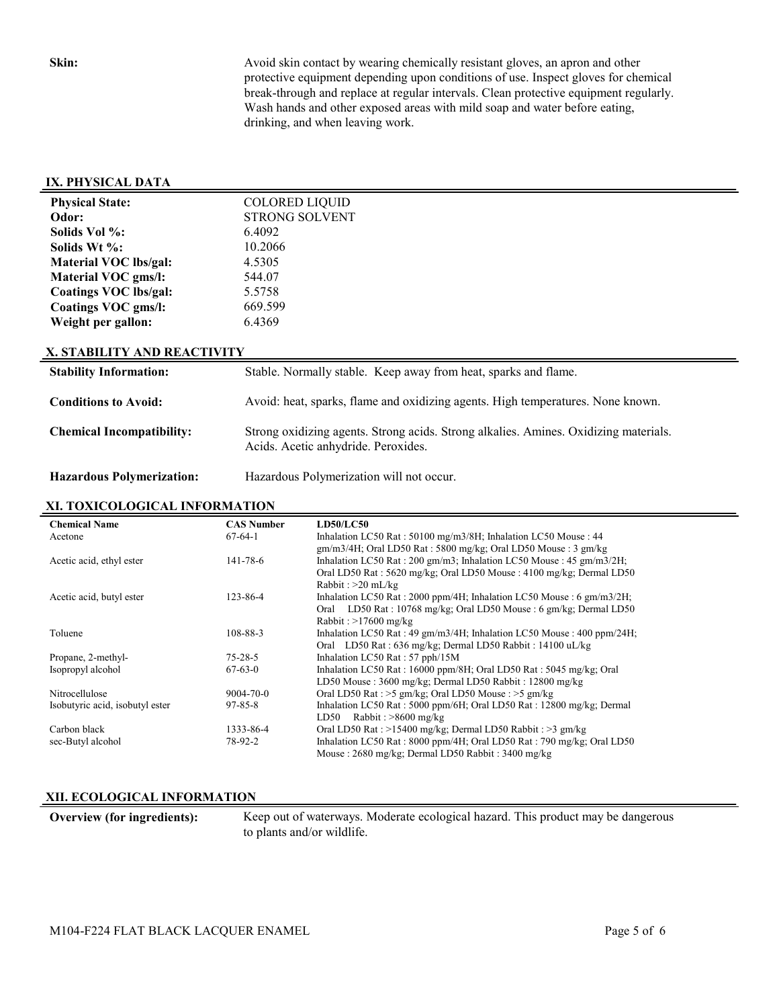**Skin:** Avoid skin contact by wearing chemically resistant gloves, an apron and other protective equipment depending upon conditions of use. Inspect gloves for chemical break-through and replace at regular intervals. Clean protective equipment regularly. Wash hands and other exposed areas with mild soap and water before eating, drinking, and when leaving work.

#### **IX. PHYSICAL DATA**

| <b>Physical State:</b> | <b>COLORED LIQUID</b> |
|------------------------|-----------------------|
| Odor:                  | <b>STRONG SOLVENT</b> |
| Solids Vol %:          | 6.4092                |
| Solids Wt %:           | 10.2066               |
| Material VOC lbs/gal:  | 4.5305                |
| Material VOC gms/l:    | 544.07                |
| Coatings VOC lbs/gal:  | 5.5758                |
| Coatings VOC gms/l:    | 669.599               |
| Weight per gallon:     | 6.4369                |

#### **X. STABILITY AND REACTIVITY**

| <b>Stability Information:</b>    | Stable. Normally stable. Keep away from heat, sparks and flame.                                                             |
|----------------------------------|-----------------------------------------------------------------------------------------------------------------------------|
| <b>Conditions to Avoid:</b>      | Avoid: heat, sparks, flame and oxidizing agents. High temperatures. None known.                                             |
| <b>Chemical Incompatibility:</b> | Strong oxidizing agents. Strong acids. Strong alkalies. Amines. Oxidizing materials.<br>Acids. Acetic anhydride. Peroxides. |
| <b>Hazardous Polymerization:</b> | Hazardous Polymerization will not occur.                                                                                    |

#### **XI. TOXICOLOGICAL INFORMATION**

| <b>Chemical Name</b>            | <b>CAS Number</b> | <b>LD50/LC50</b>                                                          |
|---------------------------------|-------------------|---------------------------------------------------------------------------|
| Acetone                         | $67-64-1$         | Inhalation LC50 Rat: 50100 mg/m3/8H; Inhalation LC50 Mouse: 44            |
|                                 |                   | $\text{gm/m3/4H}$ ; Oral LD50 Rat : 5800 mg/kg; Oral LD50 Mouse : 3 gm/kg |
| Acetic acid, ethyl ester        | 141-78-6          | Inhalation LC50 Rat: 200 gm/m3; Inhalation LC50 Mouse: 45 gm/m3/2H;       |
|                                 |                   | Oral LD50 Rat: 5620 mg/kg; Oral LD50 Mouse: 4100 mg/kg; Dermal LD50       |
|                                 |                   | Rabbit: $>20$ mL/kg                                                       |
| Acetic acid, butyl ester        | $123 - 86 - 4$    | Inhalation LC50 Rat : 2000 ppm/4H; Inhalation LC50 Mouse : 6 gm/m3/2H;    |
|                                 |                   | LD50 Rat : $10768$ mg/kg; Oral LD50 Mouse : 6 gm/kg; Dermal LD50<br>Oral  |
|                                 |                   | Rabbit: $>17600$ mg/kg                                                    |
| Toluene                         | 108-88-3          | Inhalation LC50 Rat: 49 gm/m3/4H; Inhalation LC50 Mouse: 400 ppm/24H;     |
|                                 |                   | Oral LD50 Rat: 636 mg/kg; Dermal LD50 Rabbit: 14100 uL/kg                 |
| Propane, 2-methyl-              | $75 - 28 - 5$     | Inhalation LC50 Rat: $57$ pph/ $15M$                                      |
| Isopropyl alcohol               | $67-63-0$         | Inhalation LC50 Rat: 16000 ppm/8H; Oral LD50 Rat: 5045 mg/kg; Oral        |
|                                 |                   | LD50 Mouse: 3600 mg/kg; Dermal LD50 Rabbit: 12800 mg/kg                   |
| Nitrocellulose                  | $9004 - 70 - 0$   | Oral LD50 Rat : >5 gm/kg; Oral LD50 Mouse : >5 gm/kg                      |
| Isobutyric acid, isobutyl ester | $97 - 85 - 8$     | Inhalation LC50 Rat: 5000 ppm/6H; Oral LD50 Rat: 12800 mg/kg; Dermal      |
|                                 |                   | Rabbit: $>8600$ mg/kg<br>LD50                                             |
| Carbon black                    | 1333-86-4         | Oral LD50 Rat : >15400 mg/kg; Dermal LD50 Rabbit : >3 gm/kg               |
| sec-Butyl alcohol               | 78-92-2           | Inhalation LC50 Rat: 8000 ppm/4H; Oral LD50 Rat: 790 mg/kg; Oral LD50     |
|                                 |                   | Mouse: 2680 mg/kg; Dermal LD50 Rabbit: 3400 mg/kg                         |

# **XII. ECOLOGICAL INFORMATION**

**Overview (for ingredients):** Keep out of waterways. Moderate ecological hazard. This product may be dangerous to plants and/or wildlife.